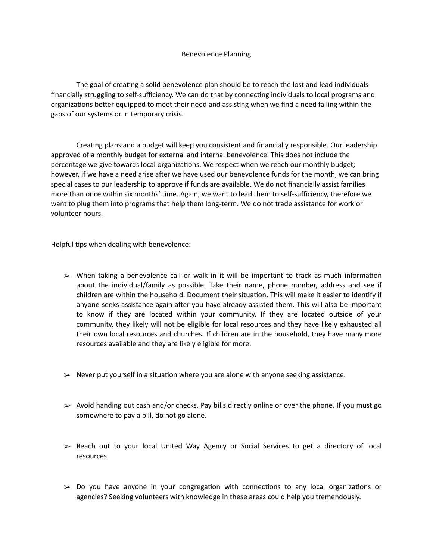## Benevolence Planning

The goal of creating a solid benevolence plan should be to reach the lost and lead individuals financially struggling to self-sufficiency. We can do that by connecting individuals to local programs and organizations better equipped to meet their need and assisting when we find a need falling within the gaps of our systems or in temporary crisis.

Creating plans and a budget will keep you consistent and financially responsible. Our leadership approved of a monthly budget for external and internal benevolence. This does not include the percentage we give towards local organizations. We respect when we reach our monthly budget; however, if we have a need arise after we have used our benevolence funds for the month, we can bring special cases to our leadership to approve if funds are available. We do not financially assist families more than once within six months' time. Again, we want to lead them to self-sufficiency, therefore we want to plug them into programs that help them long-term. We do not trade assistance for work or volunteer hours.

Helpful tips when dealing with benevolence:

- $\triangleright$  When taking a benevolence call or walk in it will be important to track as much information about the individual/family as possible. Take their name, phone number, address and see if children are within the household. Document their situation. This will make it easier to identify if anyone seeks assistance again after you have already assisted them. This will also be important to know if they are located within your community. If they are located outside of your community, they likely will not be eligible for local resources and they have likely exhausted all their own local resources and churches. If children are in the household, they have many more resources available and they are likely eligible for more.
- $\triangleright$  Never put yourself in a situation where you are alone with anyone seeking assistance.
- $\geq$  Avoid handing out cash and/or checks. Pay bills directly online or over the phone. If you must go somewhere to pay a bill, do not go alone.
- ➢ Reach out to your local United Way Agency or Social Services to get a directory of local resources.
- $\geq$  Do you have anyone in your congregation with connections to any local organizations or agencies? Seeking volunteers with knowledge in these areas could help you tremendously.